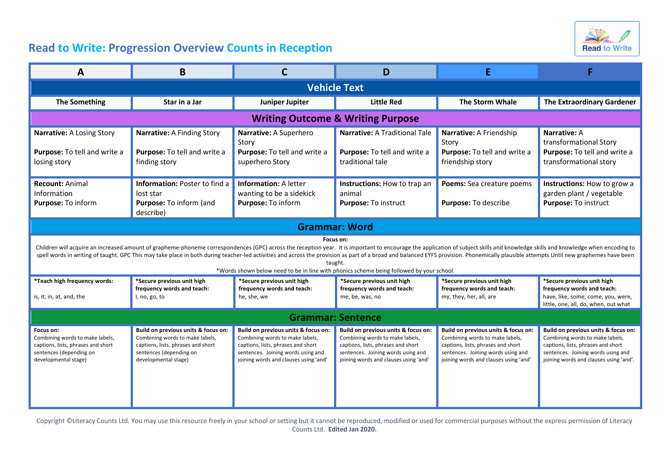

## **Read to Write: Progression Overview Counts in Reception**

| A                                                                                                                                                                                                                                                                                                                                                                                                                                                                                                                                                                                    | B                                                                                                                                                               |                                                                                                                                                                                             | D                                                                                                                                                                                           |                                                                                                                                                                                             |                                                                                                                                                                                              |  |  |  |
|--------------------------------------------------------------------------------------------------------------------------------------------------------------------------------------------------------------------------------------------------------------------------------------------------------------------------------------------------------------------------------------------------------------------------------------------------------------------------------------------------------------------------------------------------------------------------------------|-----------------------------------------------------------------------------------------------------------------------------------------------------------------|---------------------------------------------------------------------------------------------------------------------------------------------------------------------------------------------|---------------------------------------------------------------------------------------------------------------------------------------------------------------------------------------------|---------------------------------------------------------------------------------------------------------------------------------------------------------------------------------------------|----------------------------------------------------------------------------------------------------------------------------------------------------------------------------------------------|--|--|--|
| <b>Vehicle Text</b>                                                                                                                                                                                                                                                                                                                                                                                                                                                                                                                                                                  |                                                                                                                                                                 |                                                                                                                                                                                             |                                                                                                                                                                                             |                                                                                                                                                                                             |                                                                                                                                                                                              |  |  |  |
| <b>The Something</b>                                                                                                                                                                                                                                                                                                                                                                                                                                                                                                                                                                 | Star in a Jar                                                                                                                                                   | Juniper Jupiter                                                                                                                                                                             | <b>Little Red</b>                                                                                                                                                                           | <b>The Storm Whale</b>                                                                                                                                                                      | <b>The Extraordinary Gardener</b>                                                                                                                                                            |  |  |  |
| <b>Writing Outcome &amp; Writing Purpose</b>                                                                                                                                                                                                                                                                                                                                                                                                                                                                                                                                         |                                                                                                                                                                 |                                                                                                                                                                                             |                                                                                                                                                                                             |                                                                                                                                                                                             |                                                                                                                                                                                              |  |  |  |
| Narrative: A Losing Story<br>Purpose: To tell and write a<br>losing story                                                                                                                                                                                                                                                                                                                                                                                                                                                                                                            | Narrative: A Finding Story<br>Purpose: To tell and write a<br>finding story                                                                                     | Narrative: A Superhero<br>Story<br>Purpose: To tell and write a<br>superhero Story                                                                                                          | <b>Narrative: A Traditional Tale</b><br>Purpose: To tell and write a<br>traditional tale                                                                                                    | Narrative: A Friendship<br>Story<br>Purpose: To tell and write a<br>friendship story                                                                                                        | <b>Narrative: A</b><br>transformational Story<br>Purpose: To tell and write a<br>transformational story                                                                                      |  |  |  |
| <b>Recount: Animal</b><br>Information<br>Purpose: To inform                                                                                                                                                                                                                                                                                                                                                                                                                                                                                                                          | <b>Information: Poster to find a</b><br>lost star<br>Purpose: To inform (and<br>describe)                                                                       | <b>Information: A letter</b><br>wanting to be a sidekick<br>Purpose: To inform                                                                                                              | Instructions: How to trap an<br>animal<br>Purpose: To instruct                                                                                                                              | Poems: Sea creature poems<br>Purpose: To describe                                                                                                                                           | Instructions: How to grow a<br>garden plant / vegetable<br>Purpose: To instruct                                                                                                              |  |  |  |
| <b>Grammar: Word</b>                                                                                                                                                                                                                                                                                                                                                                                                                                                                                                                                                                 |                                                                                                                                                                 |                                                                                                                                                                                             |                                                                                                                                                                                             |                                                                                                                                                                                             |                                                                                                                                                                                              |  |  |  |
| Focus on:<br>Children will acquire an increased amount of grapheme-phoneme correspondences (GPC) across the reception year. It is important to encourage the application of subject skills and knowledge skills and knowledge when encoding<br>spell words in writing of taught. GPC This may take place in both during teacher-led activities and across the provision as part of a broad and balanced EYFS provision. Phonemically plausible attempts Until new graphemes h<br>taught.<br>*Words shown below need to be in line with phonics scheme being followed by your school. |                                                                                                                                                                 |                                                                                                                                                                                             |                                                                                                                                                                                             |                                                                                                                                                                                             |                                                                                                                                                                                              |  |  |  |
| *Teach high frequency words:<br>is, it, in, at, and, the                                                                                                                                                                                                                                                                                                                                                                                                                                                                                                                             | *Secure previous unit high<br>frequency words and teach:<br>I, no, go, to                                                                                       | *Secure previous unit high<br>frequency words and teach:<br>he, she, we                                                                                                                     | *Secure previous unit high<br>frequency words and teach:<br>me, be, was, no                                                                                                                 | *Secure previous unit high<br>frequency words and teach:<br>my, they, her, all, are                                                                                                         | *Secure previous unit high<br>frequency words and teach:<br>have, like, some, come, you, were,<br>little, one, all, do, when, out what                                                       |  |  |  |
| <b>Grammar: Sentence</b>                                                                                                                                                                                                                                                                                                                                                                                                                                                                                                                                                             |                                                                                                                                                                 |                                                                                                                                                                                             |                                                                                                                                                                                             |                                                                                                                                                                                             |                                                                                                                                                                                              |  |  |  |
| Focus on:<br>Combining words to make labels,<br>captions, lists, phrases and short<br>sentences (depending on<br>developmental stage)                                                                                                                                                                                                                                                                                                                                                                                                                                                | Build on previous units & focus on:<br>Combining words to make labels,<br>captions, lists, phrases and short<br>sentences (depending on<br>developmental stage) | Build on previous units & focus on:<br>Combining words to make labels,<br>captions, lists, phrases and short<br>sentences. Joining words using and<br>joining words and clauses using 'and' | Build on previous units & focus on:<br>Combining words to make labels,<br>captions, lists, phrases and short<br>sentences. Joining words using and<br>joining words and clauses using 'and' | Build on previous units & focus on:<br>Combining words to make labels,<br>captions, lists, phrases and short<br>sentences. Joining words using and<br>joining words and clauses using 'and' | Build on previous units & focus on:<br>Combining words to make labels,<br>captions, lists, phrases and short<br>sentences. Joining words using and<br>joining words and clauses using 'and'. |  |  |  |

Copyright ©Literacy Counts Ltd. You may use this resource freely in your school or setting but it cannot be reproduced, modified or used for commercial purposes without the express permission of Literacy Counts Ltd. **Edited Jan 2020.**